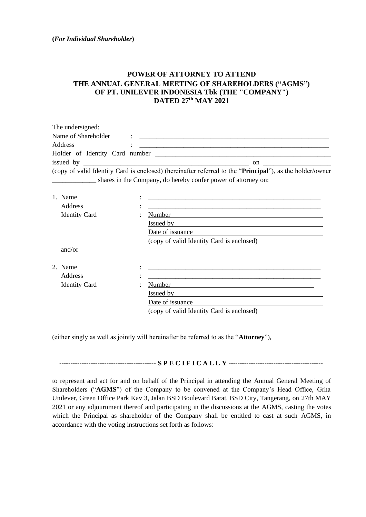## **POWER OF ATTORNEY TO ATTEND THE ANNUAL GENERAL MEETING OF SHAREHOLDERS ("AGMS") OF PT. UNILEVER INDONESIA Tbk (THE "COMPANY") DATED 27 th MAY 2021**

| The undersigned:    |                                              |                                                                                                                                                                                                                                      |
|---------------------|----------------------------------------------|--------------------------------------------------------------------------------------------------------------------------------------------------------------------------------------------------------------------------------------|
| Name of Shareholder | The control of the control of the control of |                                                                                                                                                                                                                                      |
| Address             |                                              | <u> 1986 - Johann Stein, marwolaethau a bhann an t-Albann an t-Albann an t-Albann an t-Albann an t-Albann an t-Albann an t-Albann an t-Albann an t-Albann an t-Albann an t-Albann an t-Albann an t-Albann an t-Albann an t-Alban</u> |
|                     |                                              |                                                                                                                                                                                                                                      |
|                     |                                              | on $\qquad \qquad \qquad$                                                                                                                                                                                                            |
|                     |                                              | (copy of valid Identity Card is enclosed) (hereinafter referred to the " <b>Principal</b> "), as the holder/owner                                                                                                                    |
|                     |                                              | shares in the Company, do hereby confer power of attorney on:                                                                                                                                                                        |

| 1. Name<br>٠<br>$\bullet$<br>Address<br>$\bullet$<br>$\bullet$ |                                           |
|----------------------------------------------------------------|-------------------------------------------|
| <b>Identity Card</b><br>٠                                      | Number                                    |
|                                                                | Issued by<br>Date of issuance             |
|                                                                | (copy of valid Identity Card is enclosed) |
| and/or                                                         |                                           |
| 2. Name<br>$\bullet$<br>$\bullet$                              |                                           |
| Address<br>$\bullet$<br>$\bullet$                              |                                           |
| <b>Identity Card</b><br>٠                                      | Number                                    |
|                                                                | Issued by                                 |
|                                                                | Date of issuance                          |
|                                                                | (copy of valid Identity Card is enclosed) |

(either singly as well as jointly will hereinafter be referred to as the "**Attorney**"),

**------------------------------------------- S P E C I F I C A L L Y ------------------------------------------**

to represent and act for and on behalf of the Principal in attending the Annual General Meeting of Shareholders ("**AGMS**") of the Company to be convened at the Company's Head Office, Grha Unilever, Green Office Park Kav 3, Jalan BSD Boulevard Barat, BSD City, Tangerang, on 27th MAY 2021 or any adjournment thereof and participating in the discussions at the AGMS, casting the votes which the Principal as shareholder of the Company shall be entitled to cast at such AGMS, in accordance with the voting instructions set forth as follows: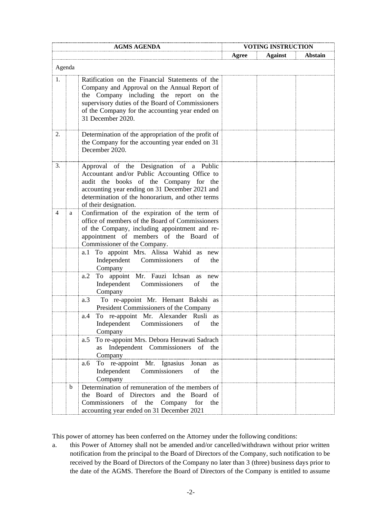| <b>AGMS AGENDA</b> |        |                                                                                                                                                                                                                                                                        | <b>VOTING INSTRUCTION</b> |                |         |
|--------------------|--------|------------------------------------------------------------------------------------------------------------------------------------------------------------------------------------------------------------------------------------------------------------------------|---------------------------|----------------|---------|
|                    |        |                                                                                                                                                                                                                                                                        | Agree                     | <b>Against</b> | Abstain |
|                    | Agenda |                                                                                                                                                                                                                                                                        |                           |                |         |
| 1.                 |        | Ratification on the Financial Statements of the<br>Company and Approval on the Annual Report of<br>the Company including the report on the<br>supervisory duties of the Board of Commissioners<br>of the Company for the accounting year ended on<br>31 December 2020. |                           |                |         |
| 2.                 |        | Determination of the appropriation of the profit of<br>the Company for the accounting year ended on 31<br>December 2020.                                                                                                                                               |                           |                |         |
| 3.                 |        | Approval of the Designation of a Public<br>Accountant and/or Public Accounting Office to<br>audit the books of the Company for the<br>accounting year ending on 31 December 2021 and<br>determination of the honorarium, and other terms<br>of their designation.      |                           |                |         |
| 4                  | a      | Confirmation of the expiration of the term of<br>office of members of the Board of Commissioners<br>of the Company, including appointment and re-<br>appointment of members of the Board of<br>Commissioner of the Company.                                            |                           |                |         |
|                    |        | To appoint Mrs. Alissa Wahid as new<br>a.1<br>Independent Commissioners<br>of<br>the<br>Company                                                                                                                                                                        |                           |                |         |
|                    |        | To appoint Mr. Fauzi Ichsan as<br>a.2<br>new<br>Independent Commissioners<br>of<br>the<br>Company                                                                                                                                                                      |                           |                |         |
|                    |        | To re-appoint Mr. Hemant Bakshi as<br>a.3<br>President Commissioners of the Company                                                                                                                                                                                    |                           |                |         |
|                    |        | To re-appoint Mr. Alexander Rusli as<br>a.4<br>Independent Commissioners of<br>the<br>Company                                                                                                                                                                          |                           |                |         |
|                    |        | To re-appoint Mrs. Debora Herawati Sadrach<br>a.5<br>as Independent Commissioners of the<br>Company                                                                                                                                                                    |                           |                |         |
|                    |        | To re-appoint Mr. Ignasius Jonan<br>a.6<br>as<br>Independent<br>Commissioners<br>of<br>the<br>Company                                                                                                                                                                  |                           |                |         |
|                    | b      | Determination of remuneration of the members of<br>the Board of Directors and the Board of<br>Commissioners<br>of<br>Company<br>the<br>for<br>the<br>accounting year ended on 31 December 2021                                                                         |                           |                |         |

This power of attorney has been conferred on the Attorney under the following conditions:

a. this Power of Attorney shall not be amended and/or cancelled/withdrawn without prior written notification from the principal to the Board of Directors of the Company, such notification to be received by the Board of Directors of the Company no later than 3 (three) business days prior to the date of the AGMS. Therefore the Board of Directors of the Company is entitled to assume